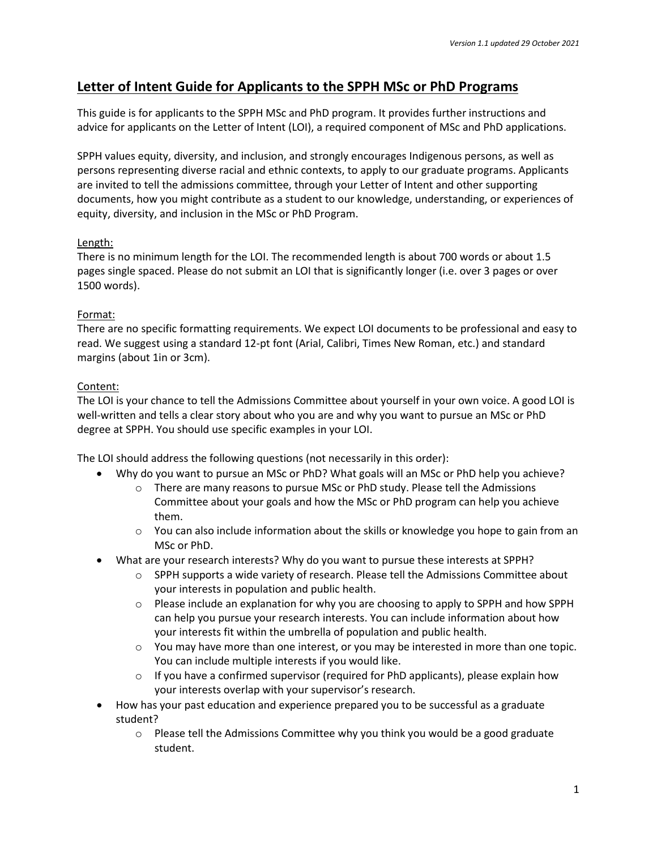# **Letter of Intent Guide for Applicants to the SPPH MSc or PhD Programs**

This guide is for applicants to the SPPH MSc and PhD program. It provides further instructions and advice for applicants on the Letter of Intent (LOI), a required component of MSc and PhD applications.

SPPH values equity, diversity, and inclusion, and strongly encourages Indigenous persons, as well as persons representing diverse racial and ethnic contexts, to apply to our graduate programs. Applicants are invited to tell the admissions committee, through your Letter of Intent and other supporting documents, how you might contribute as a student to our knowledge, understanding, or experiences of equity, diversity, and inclusion in the MSc or PhD Program.

## Length:

There is no minimum length for the LOI. The recommended length is about 700 words or about 1.5 pages single spaced. Please do not submit an LOI that is significantly longer (i.e. over 3 pages or over 1500 words).

#### Format:

There are no specific formatting requirements. We expect LOI documents to be professional and easy to read. We suggest using a standard 12-pt font (Arial, Calibri, Times New Roman, etc.) and standard margins (about 1in or 3cm).

## Content:

The LOI is your chance to tell the Admissions Committee about yourself in your own voice. A good LOI is well-written and tells a clear story about who you are and why you want to pursue an MSc or PhD degree at SPPH. You should use specific examples in your LOI.

The LOI should address the following questions (not necessarily in this order):

- Why do you want to pursue an MSc or PhD? What goals will an MSc or PhD help you achieve?
	- o There are many reasons to pursue MSc or PhD study. Please tell the Admissions Committee about your goals and how the MSc or PhD program can help you achieve them.
	- $\circ$  You can also include information about the skills or knowledge you hope to gain from an MSc or PhD.
- What are your research interests? Why do you want to pursue these interests at SPPH?
	- $\circ$  SPPH supports a wide variety of research. Please tell the Admissions Committee about your interests in population and public health.
	- $\circ$  Please include an explanation for why you are choosing to apply to SPPH and how SPPH can help you pursue your research interests. You can include information about how your interests fit within the umbrella of population and public health.
	- $\circ$  You may have more than one interest, or you may be interested in more than one topic. You can include multiple interests if you would like.
	- $\circ$  If you have a confirmed supervisor (required for PhD applicants), please explain how your interests overlap with your supervisor's research.
- How has your past education and experience prepared you to be successful as a graduate student?
	- $\circ$  Please tell the Admissions Committee why you think you would be a good graduate student.